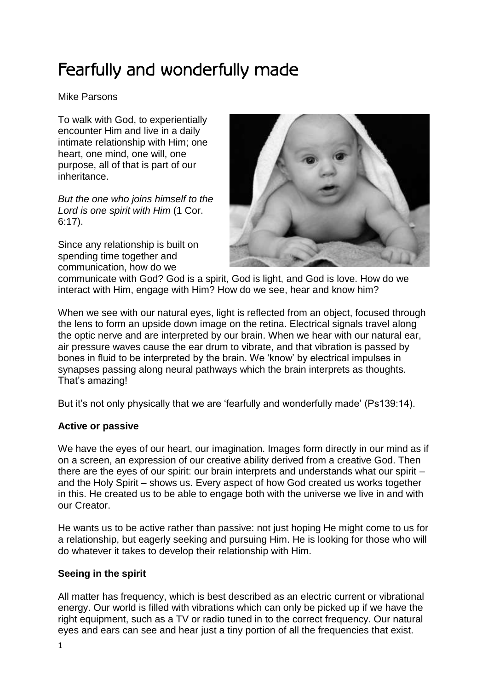# Fearfully and wonderfully made

Mike Parsons

To walk with God, to experientially encounter Him and live in a daily intimate relationship with Him; one heart, one mind, one will, one purpose, all of that is part of our inheritance.

*But the one who joins himself to the Lord is one spirit with Him* (1 Cor. 6:17).

Since any relationship is built on spending time together and communication, how do we



communicate with God? God is a spirit, God is light, and God is love. How do we interact with Him, engage with Him? How do we see, hear and know him?

When we see with our natural eyes, light is reflected from an object, focused through the lens to form an upside down image on the retina. Electrical signals travel along the optic nerve and are interpreted by our brain. When we hear with our natural ear, air pressure waves cause the ear drum to vibrate, and that vibration is passed by bones in fluid to be interpreted by the brain. We 'know' by electrical impulses in synapses passing along neural pathways which the brain interprets as thoughts. That's amazing!

But it's not only physically that we are 'fearfully and wonderfully made' (Ps139:14).

# **Active or passive**

We have the eyes of our heart, our imagination. Images form directly in our mind as if on a screen, an expression of our creative ability derived from a creative God. Then there are the eyes of our spirit: our brain interprets and understands what our spirit – and the Holy Spirit – shows us. Every aspect of how God created us works together in this. He created us to be able to engage both with the universe we live in and with our Creator.

He wants us to be active rather than passive: not just hoping He might come to us for a relationship, but eagerly seeking and pursuing Him. He is looking for those who will do whatever it takes to develop their relationship with Him.

# **Seeing in the spirit**

All matter has frequency, which is best described as an electric current or vibrational energy. Our world is filled with vibrations which can only be picked up if we have the right equipment, such as a TV or radio tuned in to the correct frequency. Our natural eyes and ears can see and hear just a tiny portion of all the frequencies that exist.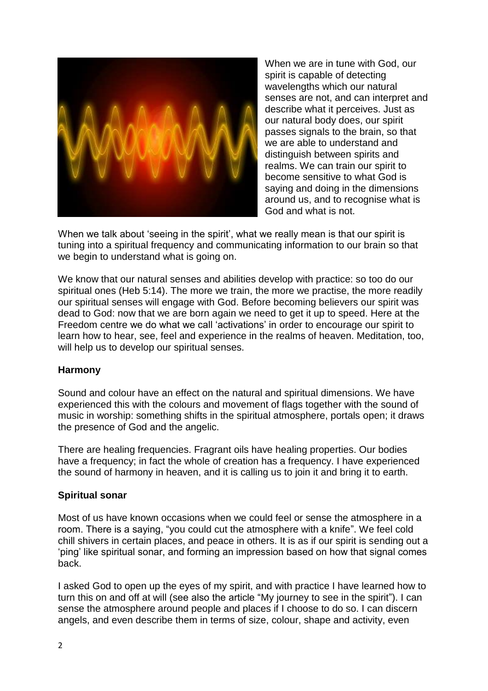

When we are in tune with God, our spirit is capable of detecting wavelengths which our natural senses are not, and can interpret and describe what it perceives. Just as our natural body does, our spirit passes signals to the brain, so that we are able to understand and distinguish between spirits and realms. We can train our spirit to become sensitive to what God is saying and doing in the dimensions around us, and to recognise what is God and what is not.

When we talk about 'seeing in the spirit', what we really mean is that our spirit is tuning into a spiritual frequency and communicating information to our brain so that we begin to understand what is going on.

We know that our natural senses and abilities develop with practice: so too do our spiritual ones (Heb 5:14). The more we train, the more we practise, the more readily our spiritual senses will engage with God. Before becoming believers our spirit was dead to God: now that we are born again we need to get it up to speed. Here at the Freedom centre we do what we call 'activations' in order to encourage our spirit to learn how to hear, see, feel and experience in the realms of heaven. Meditation, too, will help us to develop our spiritual senses.

#### **Harmony**

Sound and colour have an effect on the natural and spiritual dimensions. We have experienced this with the colours and movement of flags together with the sound of music in worship: something shifts in the spiritual atmosphere, portals open; it draws the presence of God and the angelic.

There are healing frequencies. Fragrant oils have healing properties. Our bodies have a frequency; in fact the whole of creation has a frequency. I have experienced the sound of harmony in heaven, and it is calling us to join it and bring it to earth.

#### **Spiritual sonar**

Most of us have known occasions when we could feel or sense the atmosphere in a room. There is a saying, "you could cut the atmosphere with a knife". We feel cold chill shivers in certain places, and peace in others. It is as if our spirit is sending out a 'ping' like spiritual sonar, and forming an impression based on how that signal comes back.

I asked God to open up the eyes of my spirit, and with practice I have learned how to turn this on and off at will (see also the article "My journey to see in the spirit"). I can sense the atmosphere around people and places if I choose to do so. I can discern angels, and even describe them in terms of size, colour, shape and activity, even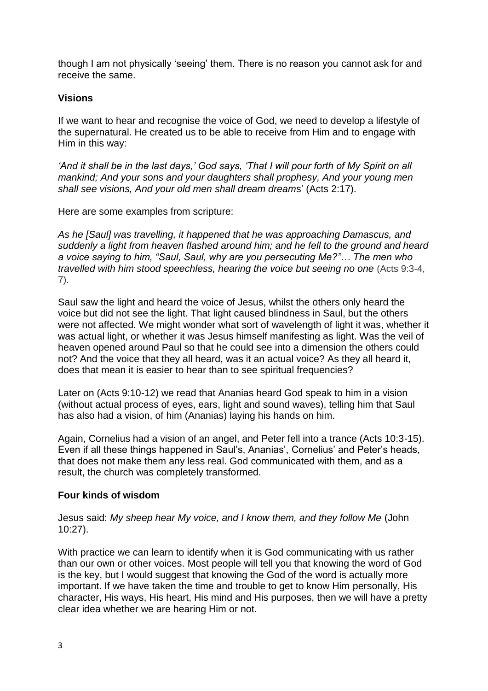though I am not physically 'seeing' them. There is no reason you cannot ask for and receive the same.

## **Visions**

If we want to hear and recognise the voice of God, we need to develop a lifestyle of the supernatural. He created us to be able to receive from Him and to engage with Him in this way:

*'And it shall be in the last days,' God says, 'That I will pour forth of My Spirit on all mankind; And your sons and your daughters shall prophesy, And your young men shall see visions, And your old men shall dream dream*s' (Acts 2:17).

Here are some examples from scripture:

*As he [Saul] was travelling, it happened that he was approaching Damascus, and suddenly a light from heaven flashed around him; and he fell to the ground and heard a voice saying to him, "Saul, Saul, why are you persecuting Me?"… The men who travelled with him stood speechless, hearing the voice but seeing no one* (Acts 9:3-4, 7).

Saul saw the light and heard the voice of Jesus, whilst the others only heard the voice but did not see the light. That light caused blindness in Saul, but the others were not affected. We might wonder what sort of wavelength of light it was, whether it was actual light, or whether it was Jesus himself manifesting as light. Was the veil of heaven opened around Paul so that he could see into a dimension the others could not? And the voice that they all heard, was it an actual voice? As they all heard it, does that mean it is easier to hear than to see spiritual frequencies?

Later on (Acts 9:10-12) we read that Ananias heard God speak to him in a vision (without actual process of eyes, ears, light and sound waves), telling him that Saul has also had a vision, of him (Ananias) laying his hands on him.

Again, Cornelius had a vision of an angel, and Peter fell into a trance (Acts 10:3-15). Even if all these things happened in Saul's, Ananias', Cornelius' and Peter's heads, that does not make them any less real. God communicated with them, and as a result, the church was completely transformed.

#### **Four kinds of wisdom**

Jesus said: *My sheep hear My voice, and I know them, and they follow Me* (John 10:27).

With practice we can learn to identify when it is God communicating with us rather than our own or other voices. Most people will tell you that knowing the word of God is the key, but I would suggest that knowing the God of the word is actually more important. If we have taken the time and trouble to get to know Him personally, His character, His ways, His heart, His mind and His purposes, then we will have a pretty clear idea whether we are hearing Him or not.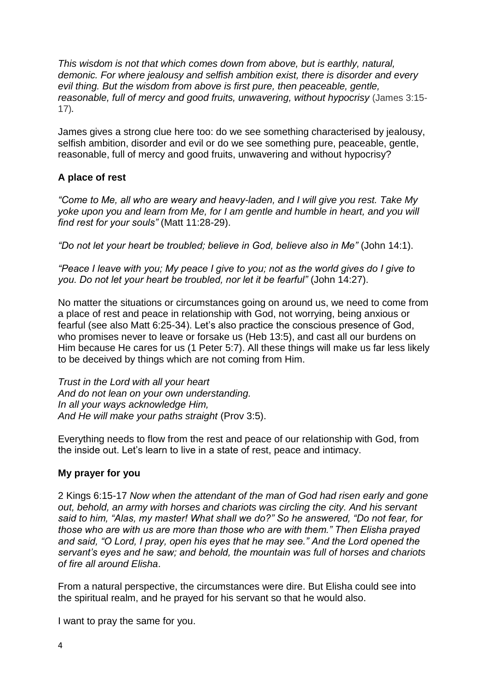*This wisdom is not that which comes down from above, but is earthly, natural, demonic. For where jealousy and selfish ambition exist, there is disorder and every evil thing. But the wisdom from above is first pure, then peaceable, gentle, reasonable, full of mercy and good fruits, unwavering, without hypocrisy* (James 3:15- 17)*.*

James gives a strong clue here too: do we see something characterised by jealousy, selfish ambition, disorder and evil or do we see something pure, peaceable, gentle, reasonable, full of mercy and good fruits, unwavering and without hypocrisy?

## **A place of rest**

*"Come to Me, all who are weary and heavy-laden, and I will give you rest. Take My yoke upon you and learn from Me, for I am gentle and humble in heart, and you will find rest for your souls"* (Matt 11:28-29).

*"Do not let your heart be troubled; believe in God, believe also in Me"* (John 14:1).

*"Peace I leave with you; My peace I give to you; not as the world gives do I give to you. Do not let your heart be troubled, nor let it be fearful"* (John 14:27).

No matter the situations or circumstances going on around us, we need to come from a place of rest and peace in relationship with God, not worrying, being anxious or fearful (see also Matt 6:25-34). Let's also practice the conscious presence of God, who promises never to leave or forsake us (Heb 13:5), and cast all our burdens on Him because He cares for us (1 Peter 5:7). All these things will make us far less likely to be deceived by things which are not coming from Him.

*Trust in the Lord with all your heart And do not lean on your own understanding. In all your ways acknowledge Him, And He will make your paths straight* (Prov 3:5).

Everything needs to flow from the rest and peace of our relationship with God, from the inside out. Let's learn to live in a state of rest, peace and intimacy.

#### **My prayer for you**

2 Kings 6:15-17 *Now when the attendant of the man of God had risen early and gone out, behold, an army with horses and chariots was circling the city. And his servant said to him, "Alas, my master! What shall we do?" So he answered, "Do not fear, for those who are with us are more than those who are with them." Then Elisha prayed and said, "O Lord, I pray, open his eyes that he may see." And the Lord opened the servant's eyes and he saw; and behold, the mountain was full of horses and chariots of fire all around Elisha*.

From a natural perspective, the circumstances were dire. But Elisha could see into the spiritual realm, and he prayed for his servant so that he would also.

I want to pray the same for you.